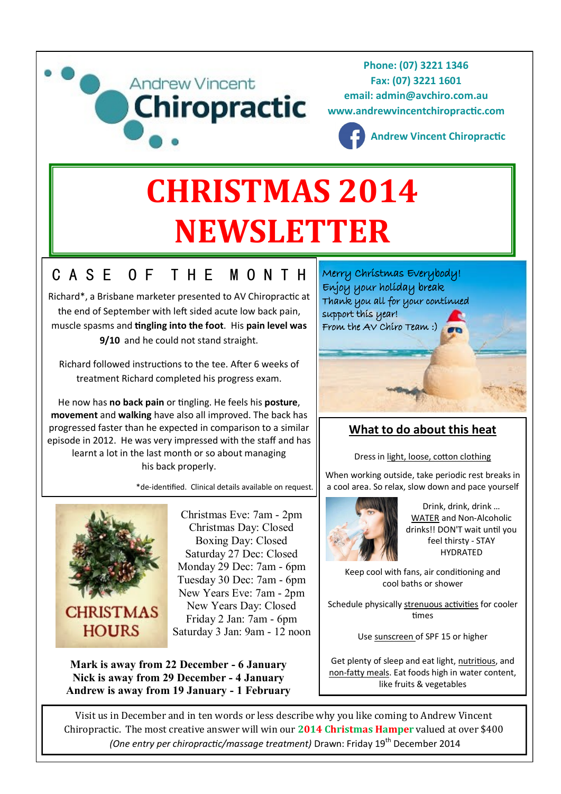

# **NEWSLETTER**

# C A S E O F T H E M O N T H

Richard\*, a Brisbane marketer presented to AV Chiropractic at the end of September with left sided acute low back pain, muscle spasms and **tingling into the foot**. His **pain level was 9/10** and he could not stand straight.

Richard followed instructions to the tee. After 6 weeks of treatment Richard completed his progress exam.

He now has **no back pain** or tingling. He feels his **posture**, **movement** and **walking** have also all improved. The back has progressed faster than he expected in comparison to a similar episode in 2012. He was very impressed with the staff and has learnt a lot in the last month or so about managing his back properly.

\*de-identified. Clinical details available on request.



Christmas Eve: 7am - 2pm Christmas Day: Closed Boxing Day: Closed Saturday 27 Dec: Closed Monday 29 Dec: 7am - 6pm Tuesday 30 Dec: 7am - 6pm New Years Eve: 7am - 2pm New Years Day: Closed Friday 2 Jan: 7am - 6pm Saturday 3 Jan: 9am - 12 noon

**Mark is away from 22 December - 6 January Nick is away from 29 December - 4 January Andrew is away from 19 January - 1 February** Merry Christmas Everybody! Enjoy your holiday break Thank you all for your continued support this year! From the AV Chiro Team :)

## **What to do about this heat**

Dress in light, loose, cotton clothing

When working outside, take periodic rest breaks in a cool area. So relax, slow down and pace yourself



Drink, drink, drink … [WATER](http://www.womenfitness.net/beauty/skin/coping_with_waterloss.htm) and Non-Alcoholic drinks!! DON'T wait until you feel thirsty - STAY HYDRATED

Keep cool with fans, air conditioning and cool baths or shower

Schedule physically [strenuous activities](http://www.womenfitness.net/programs/cardio/exercises.htm) for cooler times

Use [sunscreen o](http://www.womenfitness.net/beauty/skin/skinkare.htm)f SPF 15 or higher

Get plenty of sleep and eat light, [nutritious,](http://www.womenfitness.net/wfmember/programs/nutrition/guidelines.htm) and non-[fatty meals.](http://www.womenfitness.net/programs/nutrition/reducefat.htm) Eat foods high in water content, like fruits & vegetables

Visit us in December and in ten words or less describe why you like coming to Andrew Vincent Chiropractic. The most creative answer will win our **2014 Christmas Hamper** valued at over \$400 *(One entry per chiropractic/massage treatment)* Drawn: Friday 19<sup>th</sup> December 2014